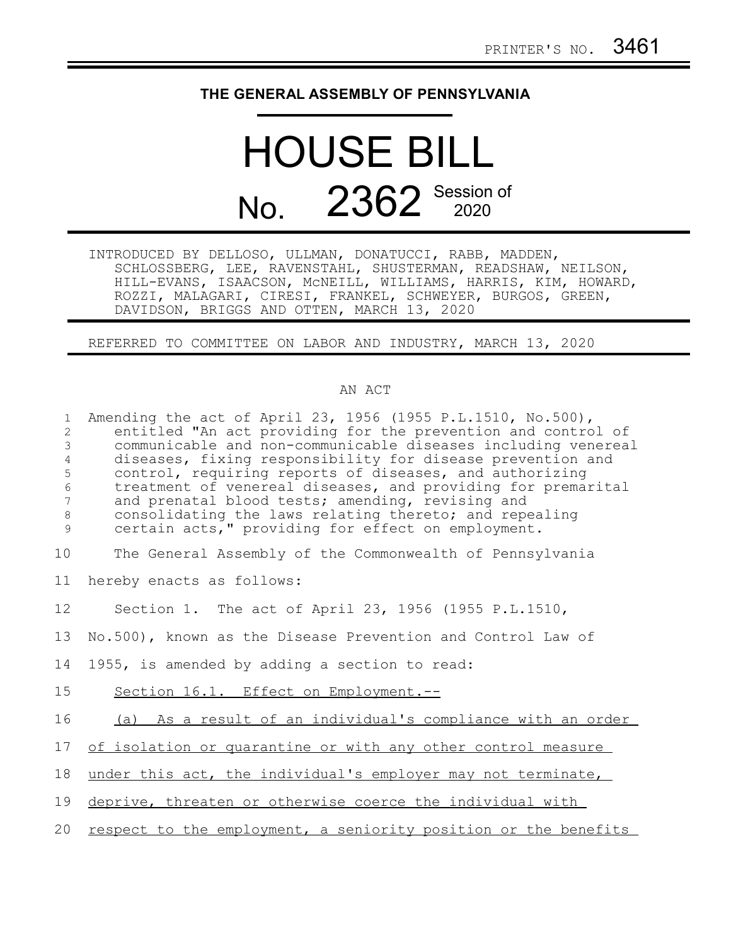## **THE GENERAL ASSEMBLY OF PENNSYLVANIA**

## HOUSE BILL No. 2362 Session of

INTRODUCED BY DELLOSO, ULLMAN, DONATUCCI, RABB, MADDEN, SCHLOSSBERG, LEE, RAVENSTAHL, SHUSTERMAN, READSHAW, NEILSON, HILL-EVANS, ISAACSON, McNEILL, WILLIAMS, HARRIS, KIM, HOWARD, ROZZI, MALAGARI, CIRESI, FRANKEL, SCHWEYER, BURGOS, GREEN, DAVIDSON, BRIGGS AND OTTEN, MARCH 13, 2020

REFERRED TO COMMITTEE ON LABOR AND INDUSTRY, MARCH 13, 2020

## AN ACT

| $\mathbf{1}$<br>$\overline{c}$<br>$\mathfrak{Z}$<br>$\overline{4}$<br>5<br>$\sqrt{6}$<br>7<br>$\,8\,$<br>9 | Amending the act of April 23, 1956 (1955 P.L.1510, No.500),<br>entitled "An act providing for the prevention and control of<br>communicable and non-communicable diseases including venereal<br>diseases, fixing responsibility for disease prevention and<br>control, requiring reports of diseases, and authorizing<br>treatment of venereal diseases, and providing for premarital<br>and prenatal blood tests; amending, revising and<br>consolidating the laws relating thereto; and repealing<br>certain acts," providing for effect on employment. |
|------------------------------------------------------------------------------------------------------------|-----------------------------------------------------------------------------------------------------------------------------------------------------------------------------------------------------------------------------------------------------------------------------------------------------------------------------------------------------------------------------------------------------------------------------------------------------------------------------------------------------------------------------------------------------------|
| 10                                                                                                         | The General Assembly of the Commonwealth of Pennsylvania                                                                                                                                                                                                                                                                                                                                                                                                                                                                                                  |
| 11                                                                                                         | hereby enacts as follows:                                                                                                                                                                                                                                                                                                                                                                                                                                                                                                                                 |
| 12                                                                                                         | Section 1. The act of April 23, 1956 (1955 P.L.1510,                                                                                                                                                                                                                                                                                                                                                                                                                                                                                                      |
| 13                                                                                                         | No.500), known as the Disease Prevention and Control Law of                                                                                                                                                                                                                                                                                                                                                                                                                                                                                               |
| 14                                                                                                         | 1955, is amended by adding a section to read:                                                                                                                                                                                                                                                                                                                                                                                                                                                                                                             |
| 15                                                                                                         | Section 16.1. Effect on Employment.--                                                                                                                                                                                                                                                                                                                                                                                                                                                                                                                     |
| 16                                                                                                         | (a) As a result of an individual's compliance with an order                                                                                                                                                                                                                                                                                                                                                                                                                                                                                               |
| 17                                                                                                         | of isolation or quarantine or with any other control measure                                                                                                                                                                                                                                                                                                                                                                                                                                                                                              |
| 18                                                                                                         | under this act, the individual's employer may not terminate,                                                                                                                                                                                                                                                                                                                                                                                                                                                                                              |
| 19                                                                                                         | deprive, threaten or otherwise coerce the individual with                                                                                                                                                                                                                                                                                                                                                                                                                                                                                                 |
| 20                                                                                                         | respect to the employment, a seniority position or the benefits                                                                                                                                                                                                                                                                                                                                                                                                                                                                                           |
|                                                                                                            |                                                                                                                                                                                                                                                                                                                                                                                                                                                                                                                                                           |